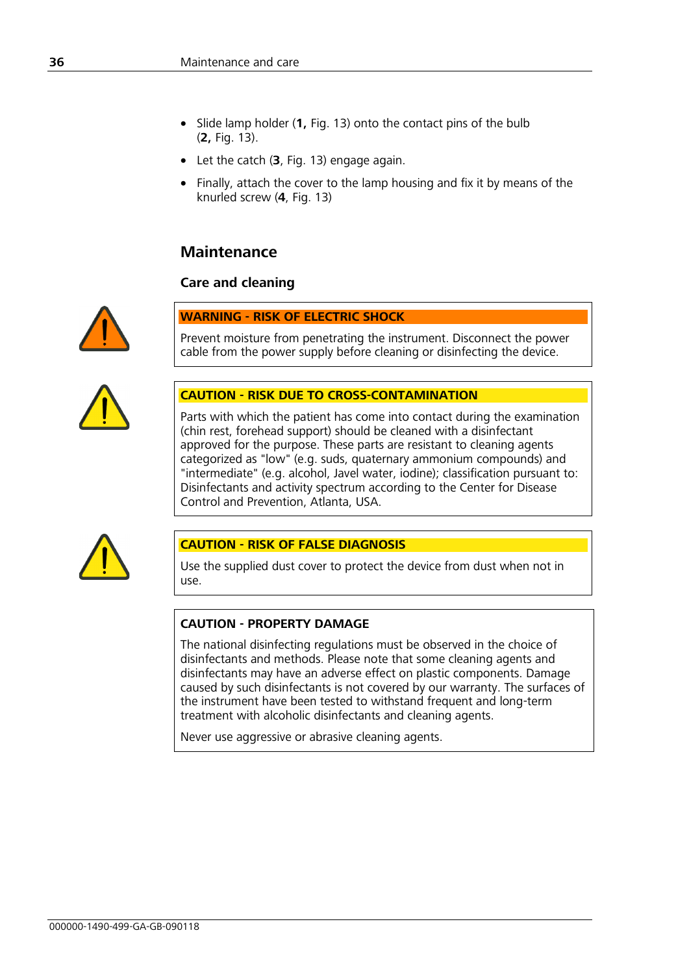- Slide lamp holder (**1,** Fig. 13) onto the contact pins of the bulb (**2,** Fig. 13).
- Let the catch (**3**, Fig. 13) engage again.
- Finally, attach the cover to the lamp housing and fix it by means of the knurled screw (**4**, Fig. 13)

## **Maintenance**

## **Care and cleaning**



## **WARNING - RISK OF ELECTRIC SHOCK**

Prevent moisture from penetrating the instrument. Disconnect the power cable from the power supply before cleaning or disinfecting the device.



#### **CAUTION - RISK DUE TO CROSS-CONTAMINATION**

Parts with which the patient has come into contact during the examination (chin rest, forehead support) should be cleaned with a disinfectant approved for the purpose. These parts are resistant to cleaning agents categorized as "low" (e.g. suds, quaternary ammonium compounds) and "intermediate" (e.g. alcohol, Javel water, iodine); classification pursuant to: Disinfectants and activity spectrum according to the Center for Disease Control and Prevention, Atlanta, USA.



## **CAUTION - RISK OF FALSE DIAGNOSIS**

Use the supplied dust cover to protect the device from dust when not in use.

#### **CAUTION - PROPERTY DAMAGE**

The national disinfecting regulations must be observed in the choice of disinfectants and methods. Please note that some cleaning agents and disinfectants may have an adverse effect on plastic components. Damage caused by such disinfectants is not covered by our warranty. The surfaces of the instrument have been tested to withstand frequent and long-term treatment with alcoholic disinfectants and cleaning agents.

Never use aggressive or abrasive cleaning agents.